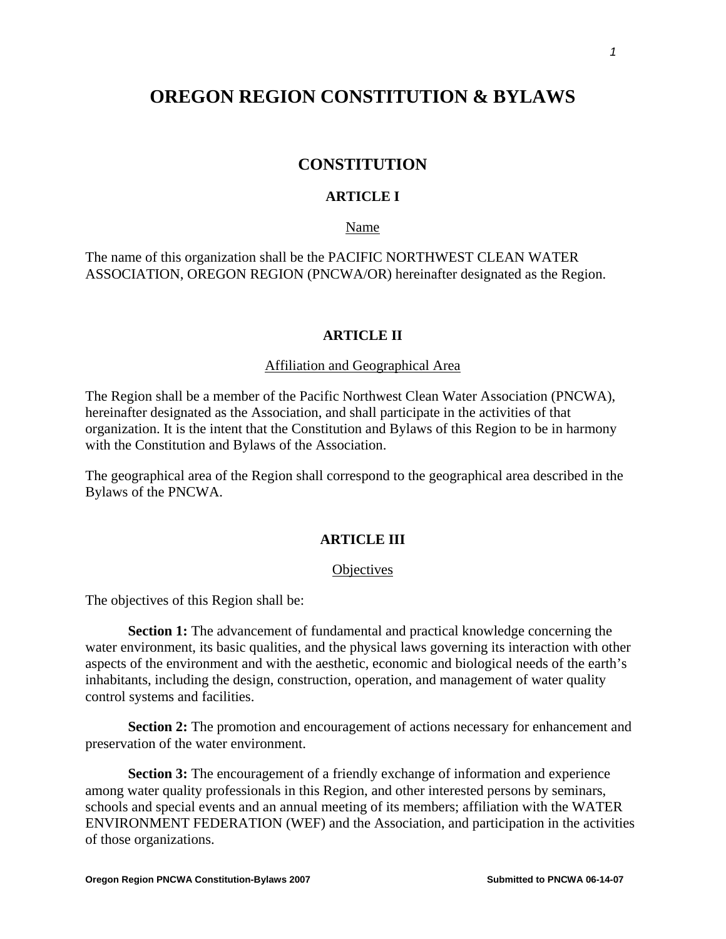# **OREGON REGION CONSTITUTION & BYLAWS**

# **CONSTITUTION**

# **ARTICLE I**

## Name

The name of this organization shall be the PACIFIC NORTHWEST CLEAN WATER ASSOCIATION, OREGON REGION (PNCWA/OR) hereinafter designated as the Region.

## **ARTICLE II**

## Affiliation and Geographical Area

The Region shall be a member of the Pacific Northwest Clean Water Association (PNCWA), hereinafter designated as the Association, and shall participate in the activities of that organization. It is the intent that the Constitution and Bylaws of this Region to be in harmony with the Constitution and Bylaws of the Association.

The geographical area of the Region shall correspond to the geographical area described in the Bylaws of the PNCWA.

### **ARTICLE III**

#### **Objectives**

The objectives of this Region shall be:

**Section 1:** The advancement of fundamental and practical knowledge concerning the water environment, its basic qualities, and the physical laws governing its interaction with other aspects of the environment and with the aesthetic, economic and biological needs of the earth's inhabitants, including the design, construction, operation, and management of water quality control systems and facilities.

**Section 2:** The promotion and encouragement of actions necessary for enhancement and preservation of the water environment.

**Section 3:** The encouragement of a friendly exchange of information and experience among water quality professionals in this Region, and other interested persons by seminars, schools and special events and an annual meeting of its members; affiliation with the WATER ENVIRONMENT FEDERATION (WEF) and the Association, and participation in the activities of those organizations.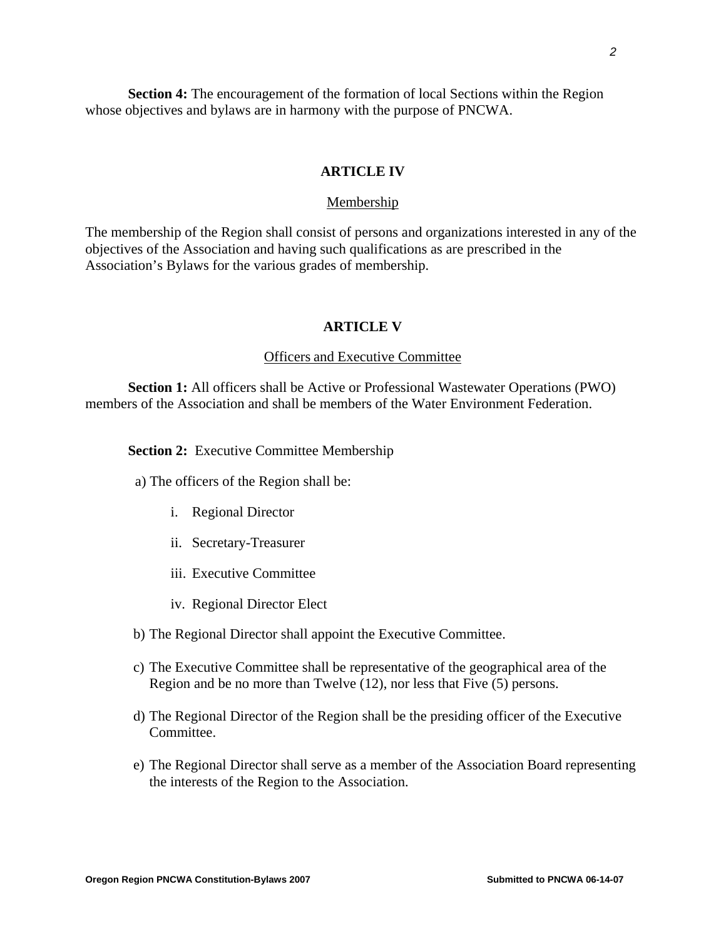**Section 4:** The encouragement of the formation of local Sections within the Region whose objectives and bylaws are in harmony with the purpose of PNCWA.

## **ARTICLE IV**

#### Membership

The membership of the Region shall consist of persons and organizations interested in any of the objectives of the Association and having such qualifications as are prescribed in the Association's Bylaws for the various grades of membership.

#### **ARTICLE V**

#### Officers and Executive Committee

**Section 1:** All officers shall be Active or Professional Wastewater Operations (PWO) members of the Association and shall be members of the Water Environment Federation.

**Section 2:** Executive Committee Membership

- a) The officers of the Region shall be:
	- i. Regional Director
	- ii. Secretary-Treasurer
	- iii. Executive Committee
	- iv. Regional Director Elect
- b) The Regional Director shall appoint the Executive Committee.
- c) The Executive Committee shall be representative of the geographical area of the Region and be no more than Twelve (12), nor less that Five (5) persons.
- d) The Regional Director of the Region shall be the presiding officer of the Executive Committee.
- e) The Regional Director shall serve as a member of the Association Board representing the interests of the Region to the Association.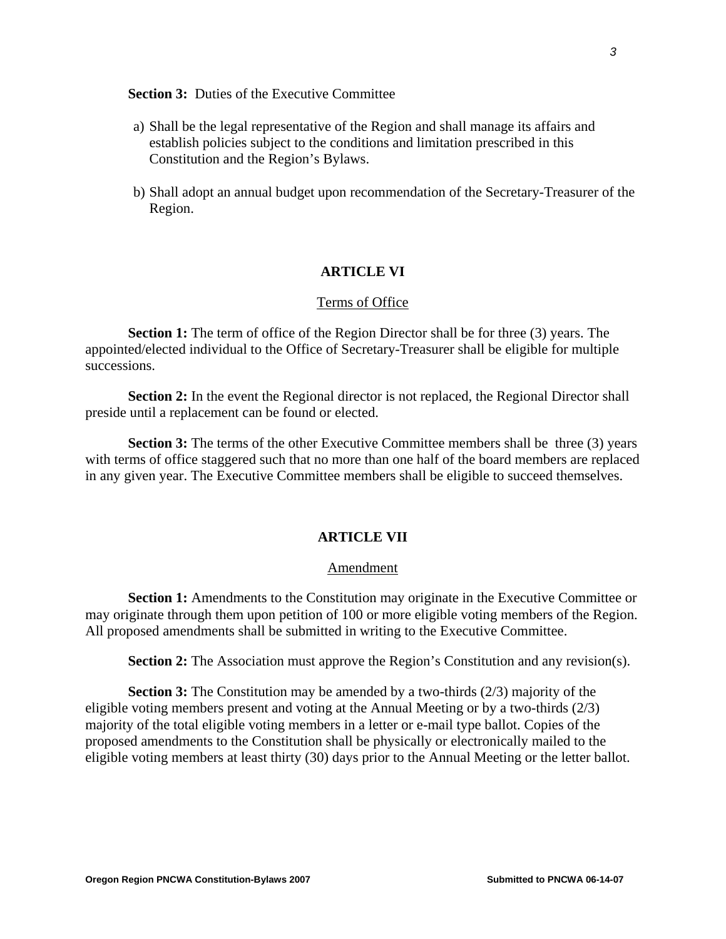## **Section 3:** Duties of the Executive Committee

- a) Shall be the legal representative of the Region and shall manage its affairs and establish policies subject to the conditions and limitation prescribed in this Constitution and the Region's Bylaws.
- b) Shall adopt an annual budget upon recommendation of the Secretary-Treasurer of the Region.

#### **ARTICLE VI**

#### Terms of Office

**Section 1:** The term of office of the Region Director shall be for three (3) years. The appointed/elected individual to the Office of Secretary-Treasurer shall be eligible for multiple successions.

**Section 2:** In the event the Regional director is not replaced, the Regional Director shall preside until a replacement can be found or elected.

**Section 3:** The terms of the other Executive Committee members shall be three (3) years with terms of office staggered such that no more than one half of the board members are replaced in any given year. The Executive Committee members shall be eligible to succeed themselves.

#### **ARTICLE VII**

### Amendment

**Section 1:** Amendments to the Constitution may originate in the Executive Committee or may originate through them upon petition of 100 or more eligible voting members of the Region. All proposed amendments shall be submitted in writing to the Executive Committee.

**Section 2:** The Association must approve the Region's Constitution and any revision(s).

**Section 3:** The Constitution may be amended by a two-thirds (2/3) majority of the eligible voting members present and voting at the Annual Meeting or by a two-thirds (2/3) majority of the total eligible voting members in a letter or e-mail type ballot. Copies of the proposed amendments to the Constitution shall be physically or electronically mailed to the eligible voting members at least thirty (30) days prior to the Annual Meeting or the letter ballot.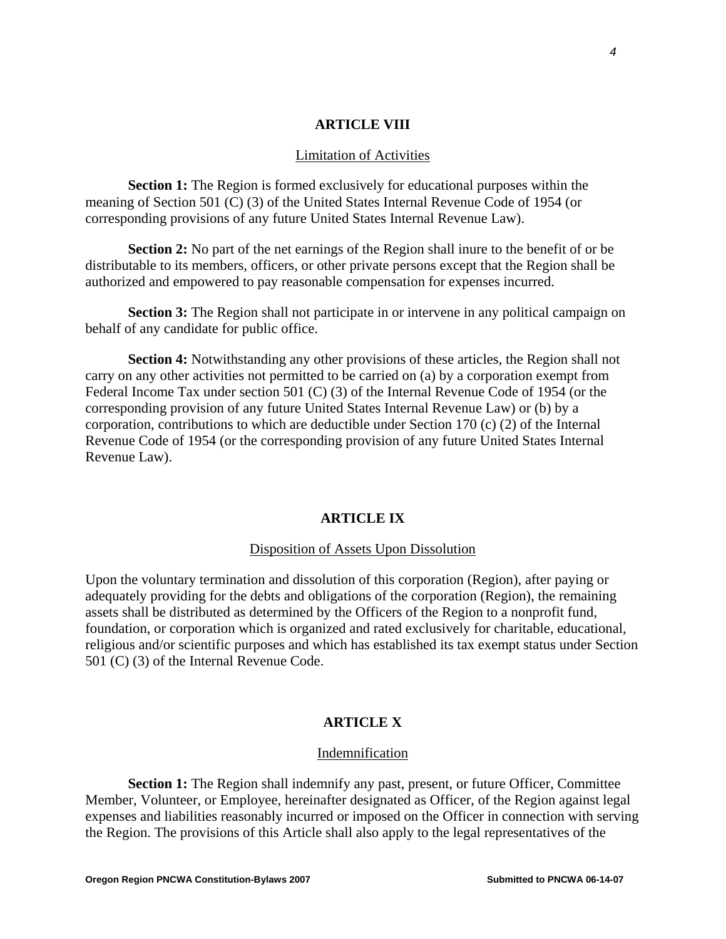## **ARTICLE VIII**

#### Limitation of Activities

**Section 1:** The Region is formed exclusively for educational purposes within the meaning of Section 501 (C) (3) of the United States Internal Revenue Code of 1954 (or corresponding provisions of any future United States Internal Revenue Law).

**Section 2:** No part of the net earnings of the Region shall inure to the benefit of or be distributable to its members, officers, or other private persons except that the Region shall be authorized and empowered to pay reasonable compensation for expenses incurred.

**Section 3:** The Region shall not participate in or intervene in any political campaign on behalf of any candidate for public office.

**Section 4:** Notwithstanding any other provisions of these articles, the Region shall not carry on any other activities not permitted to be carried on (a) by a corporation exempt from Federal Income Tax under section 501 (C) (3) of the Internal Revenue Code of 1954 (or the corresponding provision of any future United States Internal Revenue Law) or (b) by a corporation, contributions to which are deductible under Section 170 (c) (2) of the Internal Revenue Code of 1954 (or the corresponding provision of any future United States Internal Revenue Law).

#### **ARTICLE IX**

#### Disposition of Assets Upon Dissolution

Upon the voluntary termination and dissolution of this corporation (Region), after paying or adequately providing for the debts and obligations of the corporation (Region), the remaining assets shall be distributed as determined by the Officers of the Region to a nonprofit fund, foundation, or corporation which is organized and rated exclusively for charitable, educational, religious and/or scientific purposes and which has established its tax exempt status under Section 501 (C) (3) of the Internal Revenue Code.

#### **ARTICLE X**

#### Indemnification

**Section 1:** The Region shall indemnify any past, present, or future Officer, Committee Member, Volunteer, or Employee, hereinafter designated as Officer, of the Region against legal expenses and liabilities reasonably incurred or imposed on the Officer in connection with serving the Region. The provisions of this Article shall also apply to the legal representatives of the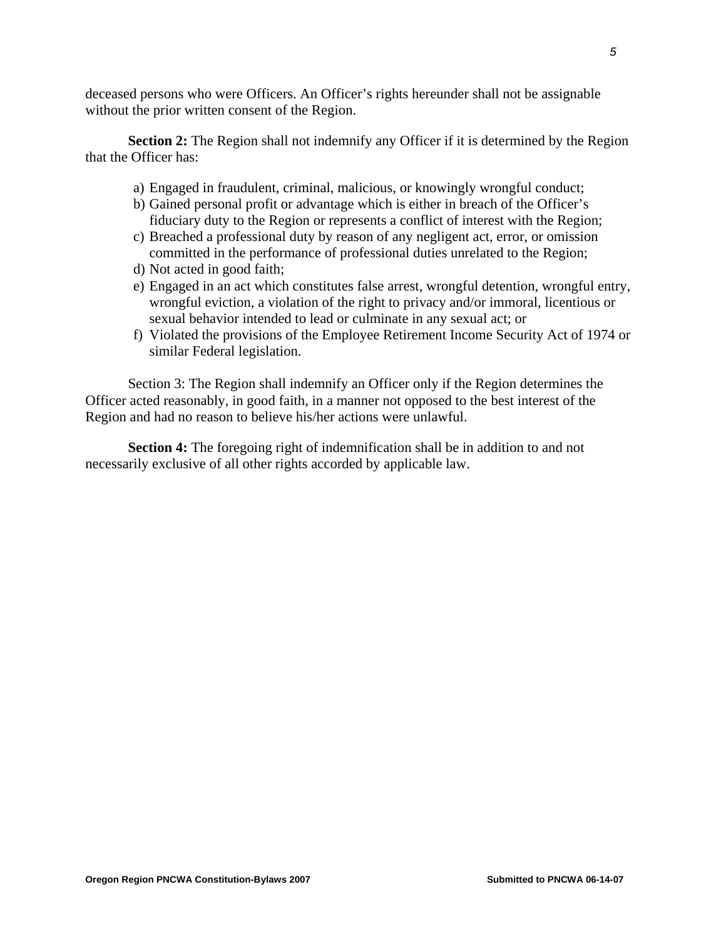deceased persons who were Officers. An Officer's rights hereunder shall not be assignable without the prior written consent of the Region.

**Section 2:** The Region shall not indemnify any Officer if it is determined by the Region that the Officer has:

- a) Engaged in fraudulent, criminal, malicious, or knowingly wrongful conduct;
- b) Gained personal profit or advantage which is either in breach of the Officer's fiduciary duty to the Region or represents a conflict of interest with the Region;
- c) Breached a professional duty by reason of any negligent act, error, or omission committed in the performance of professional duties unrelated to the Region;
- d) Not acted in good faith;
- e) Engaged in an act which constitutes false arrest, wrongful detention, wrongful entry, wrongful eviction, a violation of the right to privacy and/or immoral, licentious or sexual behavior intended to lead or culminate in any sexual act; or
- f) Violated the provisions of the Employee Retirement Income Security Act of 1974 or similar Federal legislation.

Section 3: The Region shall indemnify an Officer only if the Region determines the Officer acted reasonably, in good faith, in a manner not opposed to the best interest of the Region and had no reason to believe his/her actions were unlawful.

**Section 4:** The foregoing right of indemnification shall be in addition to and not necessarily exclusive of all other rights accorded by applicable law.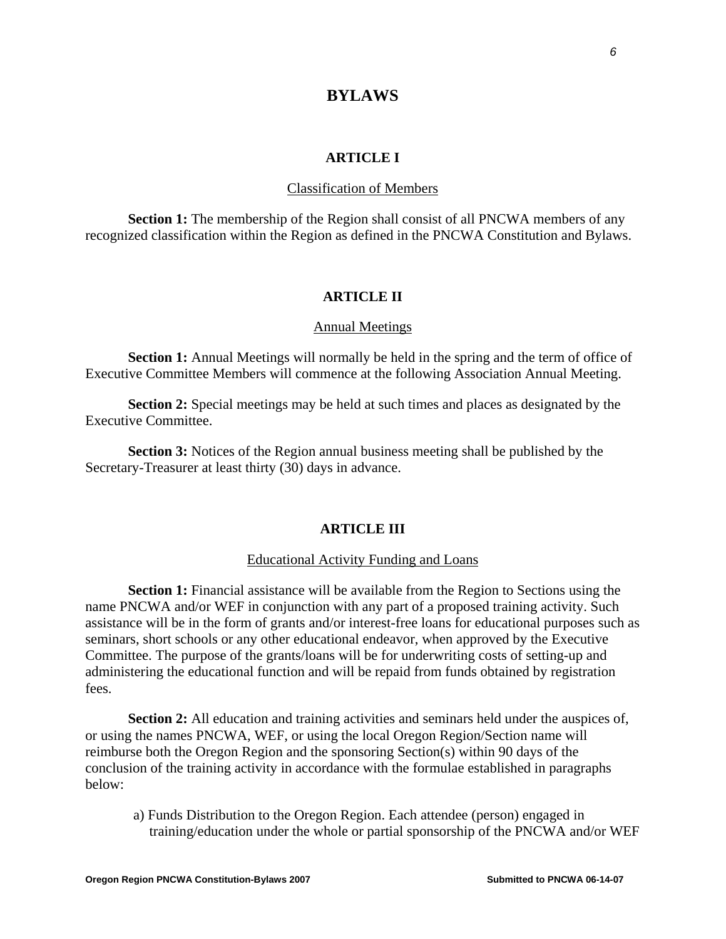# **BYLAWS**

## **ARTICLE I**

### Classification of Members

**Section 1:** The membership of the Region shall consist of all PNCWA members of any recognized classification within the Region as defined in the PNCWA Constitution and Bylaws.

# **ARTICLE II**

#### Annual Meetings

**Section 1:** Annual Meetings will normally be held in the spring and the term of office of Executive Committee Members will commence at the following Association Annual Meeting.

**Section 2:** Special meetings may be held at such times and places as designated by the Executive Committee.

**Section 3:** Notices of the Region annual business meeting shall be published by the Secretary-Treasurer at least thirty (30) days in advance.

#### **ARTICLE III**

#### Educational Activity Funding and Loans

**Section 1:** Financial assistance will be available from the Region to Sections using the name PNCWA and/or WEF in conjunction with any part of a proposed training activity. Such assistance will be in the form of grants and/or interest-free loans for educational purposes such as seminars, short schools or any other educational endeavor, when approved by the Executive Committee. The purpose of the grants/loans will be for underwriting costs of setting-up and administering the educational function and will be repaid from funds obtained by registration fees.

**Section 2:** All education and training activities and seminars held under the auspices of, or using the names PNCWA, WEF, or using the local Oregon Region/Section name will reimburse both the Oregon Region and the sponsoring Section(s) within 90 days of the conclusion of the training activity in accordance with the formulae established in paragraphs below:

a) Funds Distribution to the Oregon Region. Each attendee (person) engaged in training/education under the whole or partial sponsorship of the PNCWA and/or WEF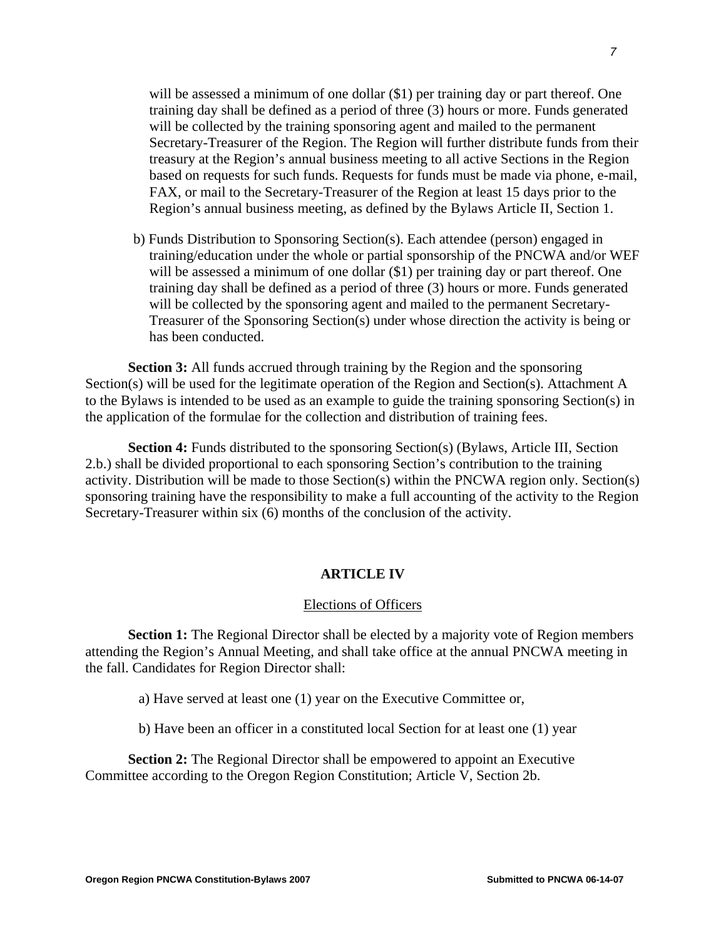will be assessed a minimum of one dollar  $(\$1)$  per training day or part thereof. One training day shall be defined as a period of three (3) hours or more. Funds generated will be collected by the training sponsoring agent and mailed to the permanent Secretary-Treasurer of the Region. The Region will further distribute funds from their treasury at the Region's annual business meeting to all active Sections in the Region based on requests for such funds. Requests for funds must be made via phone, e-mail, FAX, or mail to the Secretary-Treasurer of the Region at least 15 days prior to the Region's annual business meeting, as defined by the Bylaws Article II, Section 1.

b) Funds Distribution to Sponsoring Section(s). Each attendee (person) engaged in training/education under the whole or partial sponsorship of the PNCWA and/or WEF will be assessed a minimum of one dollar  $(\$1)$  per training day or part thereof. One training day shall be defined as a period of three (3) hours or more. Funds generated will be collected by the sponsoring agent and mailed to the permanent Secretary-Treasurer of the Sponsoring Section(s) under whose direction the activity is being or has been conducted.

**Section 3:** All funds accrued through training by the Region and the sponsoring Section(s) will be used for the legitimate operation of the Region and Section(s). Attachment A to the Bylaws is intended to be used as an example to guide the training sponsoring Section(s) in the application of the formulae for the collection and distribution of training fees.

**Section 4:** Funds distributed to the sponsoring Section(s) (Bylaws, Article III, Section 2.b.) shall be divided proportional to each sponsoring Section's contribution to the training activity. Distribution will be made to those Section(s) within the PNCWA region only. Section(s) sponsoring training have the responsibility to make a full accounting of the activity to the Region Secretary-Treasurer within six (6) months of the conclusion of the activity.

## **ARTICLE IV**

#### Elections of Officers

**Section 1:** The Regional Director shall be elected by a majority vote of Region members attending the Region's Annual Meeting, and shall take office at the annual PNCWA meeting in the fall. Candidates for Region Director shall:

- a) Have served at least one (1) year on the Executive Committee or,
- b) Have been an officer in a constituted local Section for at least one (1) year

**Section 2:** The Regional Director shall be empowered to appoint an Executive Committee according to the Oregon Region Constitution; Article V, Section 2b.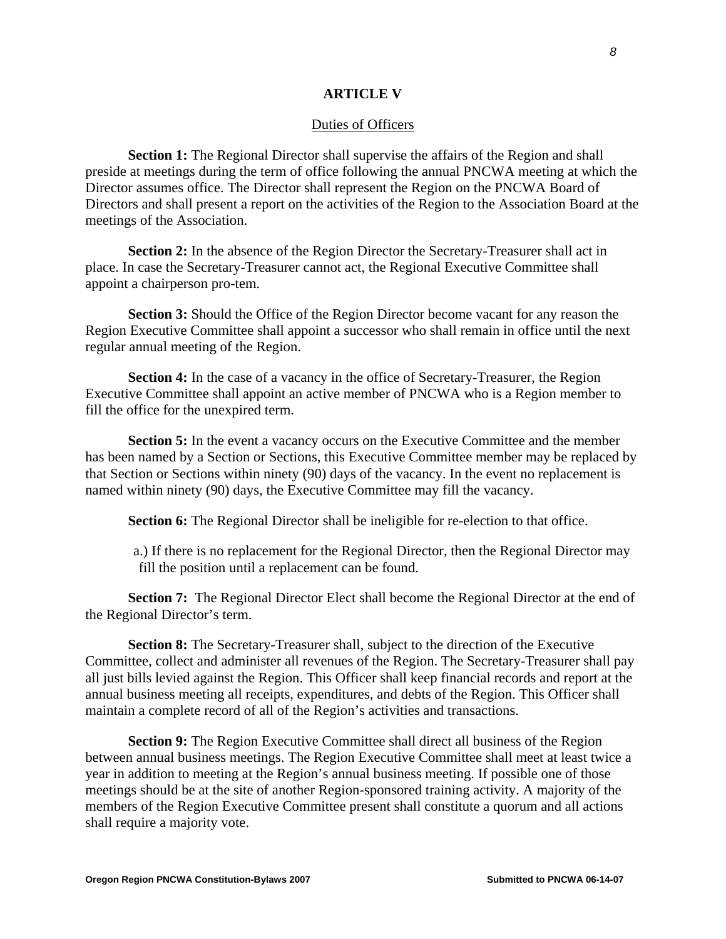### **ARTICLE V**

#### Duties of Officers

**Section 1:** The Regional Director shall supervise the affairs of the Region and shall preside at meetings during the term of office following the annual PNCWA meeting at which the Director assumes office. The Director shall represent the Region on the PNCWA Board of Directors and shall present a report on the activities of the Region to the Association Board at the meetings of the Association.

**Section 2:** In the absence of the Region Director the Secretary-Treasurer shall act in place. In case the Secretary-Treasurer cannot act, the Regional Executive Committee shall appoint a chairperson pro-tem.

**Section 3:** Should the Office of the Region Director become vacant for any reason the Region Executive Committee shall appoint a successor who shall remain in office until the next regular annual meeting of the Region.

**Section 4:** In the case of a vacancy in the office of Secretary-Treasurer, the Region Executive Committee shall appoint an active member of PNCWA who is a Region member to fill the office for the unexpired term.

**Section 5:** In the event a vacancy occurs on the Executive Committee and the member has been named by a Section or Sections, this Executive Committee member may be replaced by that Section or Sections within ninety (90) days of the vacancy. In the event no replacement is named within ninety (90) days, the Executive Committee may fill the vacancy.

**Section 6:** The Regional Director shall be ineligible for re-election to that office.

a.) If there is no replacement for the Regional Director, then the Regional Director may fill the position until a replacement can be found.

**Section 7:** The Regional Director Elect shall become the Regional Director at the end of the Regional Director's term.

**Section 8:** The Secretary-Treasurer shall, subject to the direction of the Executive Committee, collect and administer all revenues of the Region. The Secretary-Treasurer shall pay all just bills levied against the Region. This Officer shall keep financial records and report at the annual business meeting all receipts, expenditures, and debts of the Region. This Officer shall maintain a complete record of all of the Region's activities and transactions.

**Section 9:** The Region Executive Committee shall direct all business of the Region between annual business meetings. The Region Executive Committee shall meet at least twice a year in addition to meeting at the Region's annual business meeting. If possible one of those meetings should be at the site of another Region-sponsored training activity. A majority of the members of the Region Executive Committee present shall constitute a quorum and all actions shall require a majority vote.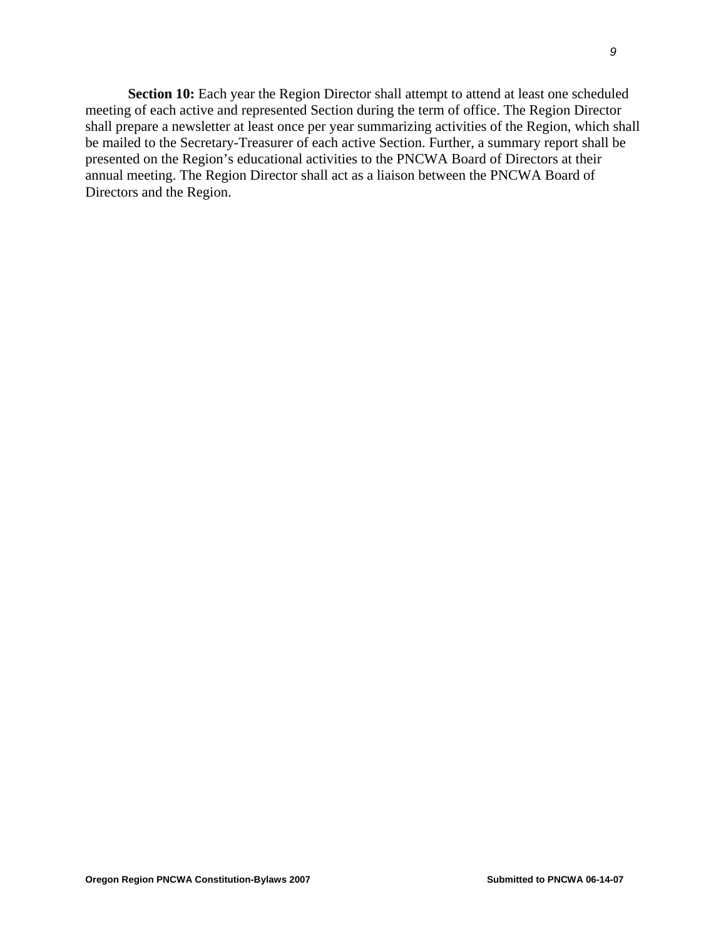**Section 10:** Each year the Region Director shall attempt to attend at least one scheduled meeting of each active and represented Section during the term of office. The Region Director shall prepare a newsletter at least once per year summarizing activities of the Region, which shall be mailed to the Secretary-Treasurer of each active Section. Further, a summary report shall be presented on the Region's educational activities to the PNCWA Board of Directors at their annual meeting. The Region Director shall act as a liaison between the PNCWA Board of Directors and the Region.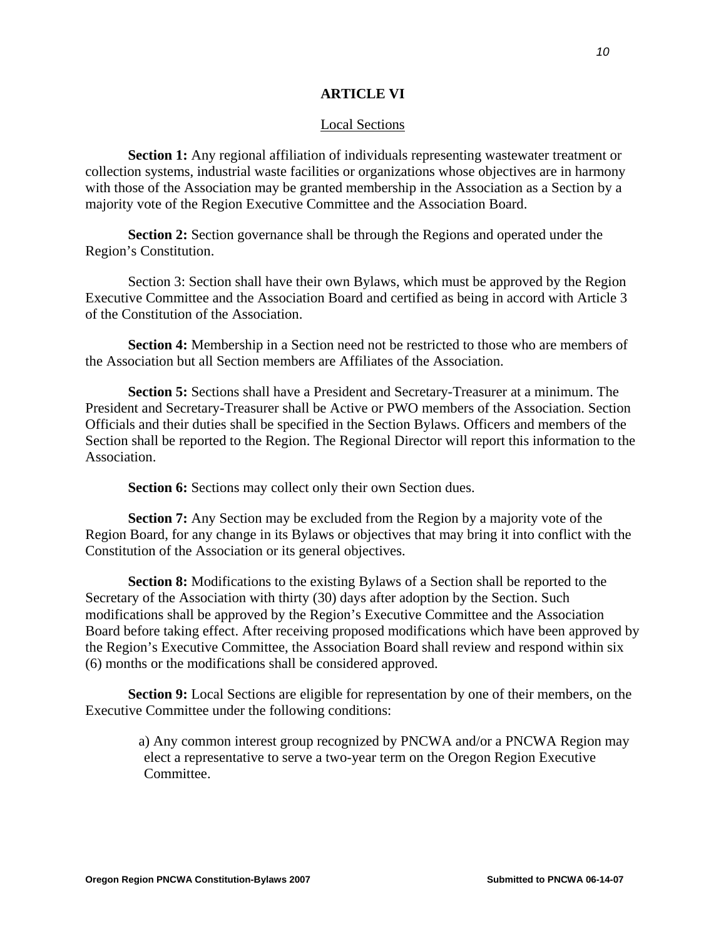## **ARTICLE VI**

#### Local Sections

**Section 1:** Any regional affiliation of individuals representing wastewater treatment or collection systems, industrial waste facilities or organizations whose objectives are in harmony with those of the Association may be granted membership in the Association as a Section by a majority vote of the Region Executive Committee and the Association Board.

**Section 2:** Section governance shall be through the Regions and operated under the Region's Constitution.

Section 3: Section shall have their own Bylaws, which must be approved by the Region Executive Committee and the Association Board and certified as being in accord with Article 3 of the Constitution of the Association.

**Section 4:** Membership in a Section need not be restricted to those who are members of the Association but all Section members are Affiliates of the Association.

**Section 5:** Sections shall have a President and Secretary-Treasurer at a minimum. The President and Secretary-Treasurer shall be Active or PWO members of the Association. Section Officials and their duties shall be specified in the Section Bylaws. Officers and members of the Section shall be reported to the Region. The Regional Director will report this information to the Association.

**Section 6:** Sections may collect only their own Section dues.

**Section 7:** Any Section may be excluded from the Region by a majority vote of the Region Board, for any change in its Bylaws or objectives that may bring it into conflict with the Constitution of the Association or its general objectives.

**Section 8:** Modifications to the existing Bylaws of a Section shall be reported to the Secretary of the Association with thirty (30) days after adoption by the Section. Such modifications shall be approved by the Region's Executive Committee and the Association Board before taking effect. After receiving proposed modifications which have been approved by the Region's Executive Committee, the Association Board shall review and respond within six (6) months or the modifications shall be considered approved.

**Section 9:** Local Sections are eligible for representation by one of their members, on the Executive Committee under the following conditions:

a) Any common interest group recognized by PNCWA and/or a PNCWA Region may elect a representative to serve a two-year term on the Oregon Region Executive Committee.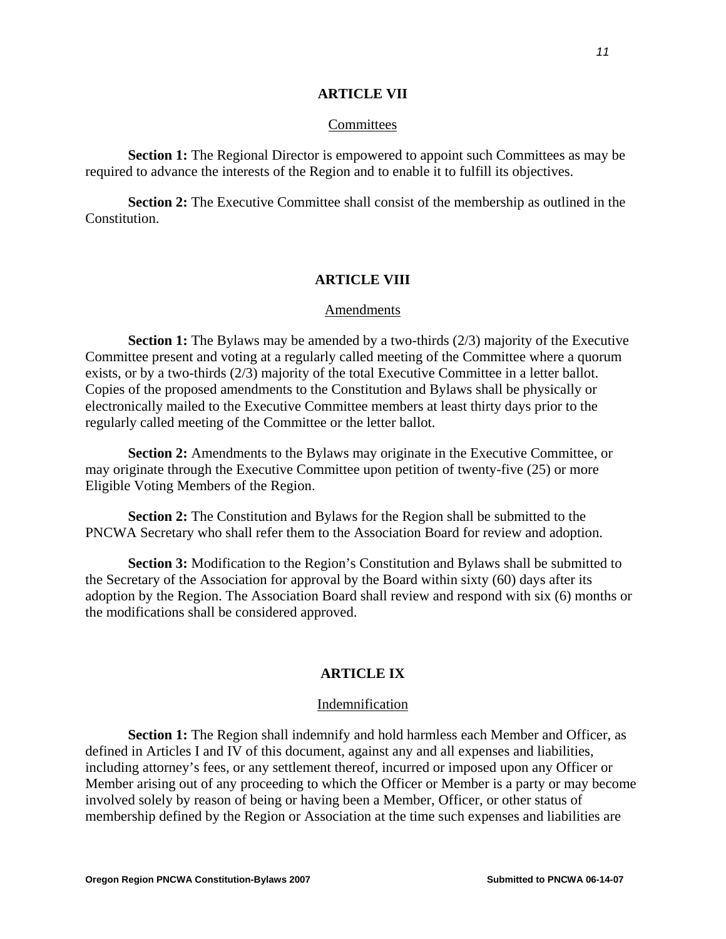## **ARTICLE VII**

#### **Committees**

**Section 1:** The Regional Director is empowered to appoint such Committees as may be required to advance the interests of the Region and to enable it to fulfill its objectives.

**Section 2:** The Executive Committee shall consist of the membership as outlined in the Constitution.

## **ARTICLE VIII**

#### Amendments

**Section 1:** The Bylaws may be amended by a two-thirds (2/3) majority of the Executive Committee present and voting at a regularly called meeting of the Committee where a quorum exists, or by a two-thirds (2/3) majority of the total Executive Committee in a letter ballot. Copies of the proposed amendments to the Constitution and Bylaws shall be physically or electronically mailed to the Executive Committee members at least thirty days prior to the regularly called meeting of the Committee or the letter ballot.

**Section 2:** Amendments to the Bylaws may originate in the Executive Committee, or may originate through the Executive Committee upon petition of twenty-five (25) or more Eligible Voting Members of the Region.

**Section 2:** The Constitution and Bylaws for the Region shall be submitted to the PNCWA Secretary who shall refer them to the Association Board for review and adoption.

**Section 3:** Modification to the Region's Constitution and Bylaws shall be submitted to the Secretary of the Association for approval by the Board within sixty (60) days after its adoption by the Region. The Association Board shall review and respond with six (6) months or the modifications shall be considered approved.

#### **ARTICLE IX**

#### **Indemnification**

**Section 1:** The Region shall indemnify and hold harmless each Member and Officer, as defined in Articles I and IV of this document, against any and all expenses and liabilities, including attorney's fees, or any settlement thereof, incurred or imposed upon any Officer or Member arising out of any proceeding to which the Officer or Member is a party or may become involved solely by reason of being or having been a Member, Officer, or other status of membership defined by the Region or Association at the time such expenses and liabilities are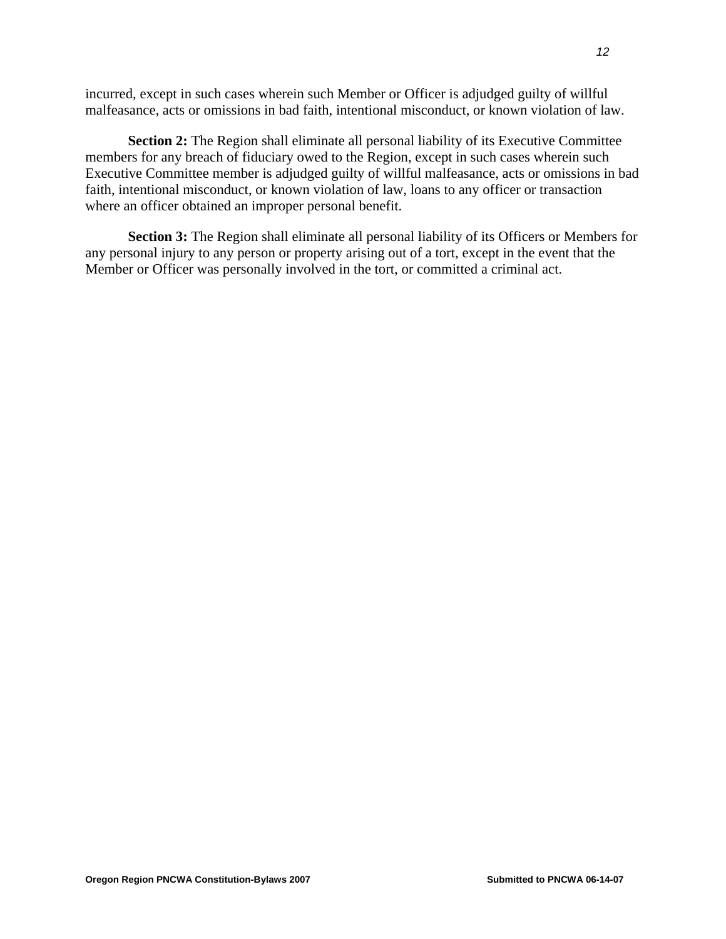incurred, except in such cases wherein such Member or Officer is adjudged guilty of willful malfeasance, acts or omissions in bad faith, intentional misconduct, or known violation of law.

**Section 2:** The Region shall eliminate all personal liability of its Executive Committee members for any breach of fiduciary owed to the Region, except in such cases wherein such Executive Committee member is adjudged guilty of willful malfeasance, acts or omissions in bad faith, intentional misconduct, or known violation of law, loans to any officer or transaction where an officer obtained an improper personal benefit.

**Section 3:** The Region shall eliminate all personal liability of its Officers or Members for any personal injury to any person or property arising out of a tort, except in the event that the Member or Officer was personally involved in the tort, or committed a criminal act.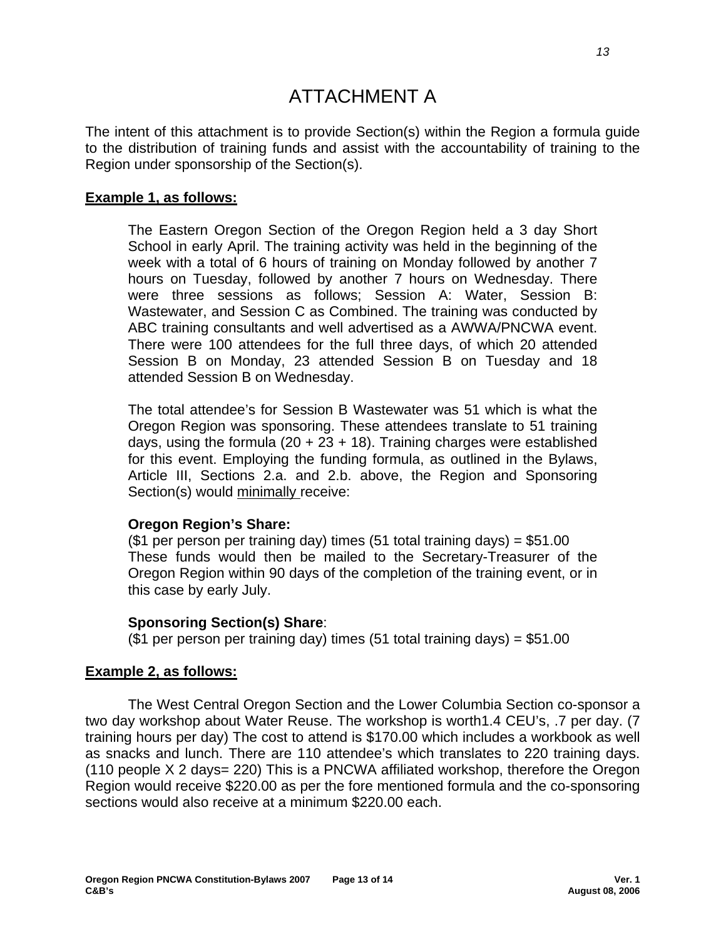# ATTACHMENT A

The intent of this attachment is to provide Section(s) within the Region a formula guide to the distribution of training funds and assist with the accountability of training to the Region under sponsorship of the Section(s).

# **Example 1, as follows:**

The Eastern Oregon Section of the Oregon Region held a 3 day Short School in early April. The training activity was held in the beginning of the week with a total of 6 hours of training on Monday followed by another 7 hours on Tuesday, followed by another 7 hours on Wednesday. There were three sessions as follows; Session A: Water, Session B: Wastewater, and Session C as Combined. The training was conducted by ABC training consultants and well advertised as a AWWA/PNCWA event. There were 100 attendees for the full three days, of which 20 attended Session B on Monday, 23 attended Session B on Tuesday and 18 attended Session B on Wednesday.

The total attendee's for Session B Wastewater was 51 which is what the Oregon Region was sponsoring. These attendees translate to 51 training days, using the formula  $(20 + 23 + 18)$ . Training charges were established for this event. Employing the funding formula, as outlined in the Bylaws, Article III, Sections 2.a. and 2.b. above, the Region and Sponsoring Section(s) would minimally receive:

# **Oregon Region's Share:**

(\$1 per person per training day) times (51 total training days) =  $$51.00$ These funds would then be mailed to the Secretary-Treasurer of the Oregon Region within 90 days of the completion of the training event, or in this case by early July.

# **Sponsoring Section(s) Share**:

(\$1 per person per training day) times (51 total training days) = \$51.00

# **Example 2, as follows:**

 The West Central Oregon Section and the Lower Columbia Section co-sponsor a two day workshop about Water Reuse. The workshop is worth1.4 CEU's, .7 per day. (7 training hours per day) The cost to attend is \$170.00 which includes a workbook as well as snacks and lunch. There are 110 attendee's which translates to 220 training days. (110 people X 2 days= 220) This is a PNCWA affiliated workshop, therefore the Oregon Region would receive \$220.00 as per the fore mentioned formula and the co-sponsoring sections would also receive at a minimum \$220.00 each.